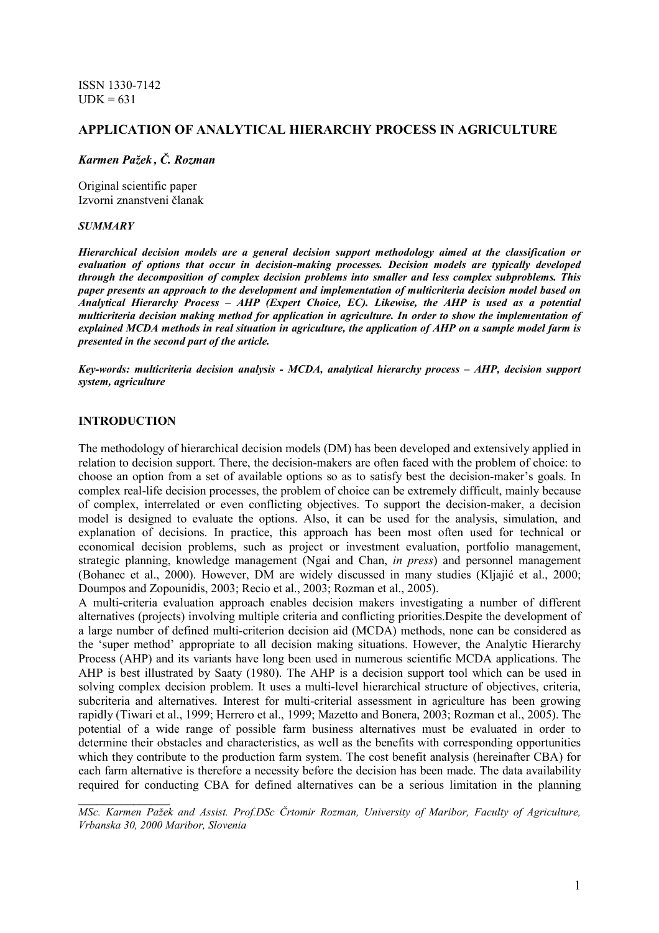ISSN 1330-7142  $UDK = 631$ 

# APPLICATION OF ANALYTICAL HIERARCHY PROCESS IN AGRICULTURE

#### Karmen Pažek , Č. Rozman

Original scientific paper Izvorni znanstveni članak

#### **SUMMARY**

Hierarchical decision models are a general decision support methodology aimed at the classification or evaluation of options that occur in decision-making processes. Decision models are typically developed through the decomposition of complex decision problems into smaller and less complex subproblems. This paper presents an approach to the development and implementation of multicriteria decision model based on Analytical Hierarchy Process – AHP (Expert Choice, EC). Likewise, the AHP is used as a potential multicriteria decision making method for application in agriculture. In order to show the implementation of explained MCDA methods in real situation in agriculture, the application of AHP on a sample model farm is presented in the second part of the article.

Key-words: multicriteria decision analysis - MCDA, analytical hierarchy process – AHP, decision support system, agriculture

#### INTRODUCTION

 $\frac{1}{2}$  , where  $\frac{1}{2}$  , where  $\frac{1}{2}$ 

The methodology of hierarchical decision models (DM) has been developed and extensively applied in relation to decision support. There, the decision-makers are often faced with the problem of choice: to choose an option from a set of available options so as to satisfy best the decision-maker's goals. In complex real-life decision processes, the problem of choice can be extremely difficult, mainly because of complex, interrelated or even conflicting objectives. To support the decision-maker, a decision model is designed to evaluate the options. Also, it can be used for the analysis, simulation, and explanation of decisions. In practice, this approach has been most often used for technical or economical decision problems, such as project or investment evaluation, portfolio management, strategic planning, knowledge management (Ngai and Chan, in press) and personnel management (Bohanec et al., 2000). However, DM are widely discussed in many studies (Kljajić et al., 2000; Doumpos and Zopounidis, 2003; Recio et al., 2003; Rozman et al., 2005).

A multi-criteria evaluation approach enables decision makers investigating a number of different alternatives (projects) involving multiple criteria and conflicting priorities.Despite the development of a large number of defined multi-criterion decision aid (MCDA) methods, none can be considered as the 'super method' appropriate to all decision making situations. However, the Analytic Hierarchy Process (AHP) and its variants have long been used in numerous scientific MCDA applications. The AHP is best illustrated by Saaty (1980). The AHP is a decision support tool which can be used in solving complex decision problem. It uses a multi-level hierarchical structure of objectives, criteria, subcriteria and alternatives. Interest for multi-criterial assessment in agriculture has been growing rapidly (Tiwari et al., 1999; Herrero et al., 1999; Mazetto and Bonera, 2003; Rozman et al., 2005). The potential of a wide range of possible farm business alternatives must be evaluated in order to determine their obstacles and characteristics, as well as the benefits with corresponding opportunities which they contribute to the production farm system. The cost benefit analysis (hereinafter CBA) for each farm alternative is therefore a necessity before the decision has been made. The data availability required for conducting CBA for defined alternatives can be a serious limitation in the planning

MSc. Karmen Pažek and Assist. Prof.DSc Črtomir Rozman, University of Maribor, Faculty of Agriculture, Vrbanska 30, 2000 Maribor, Slovenia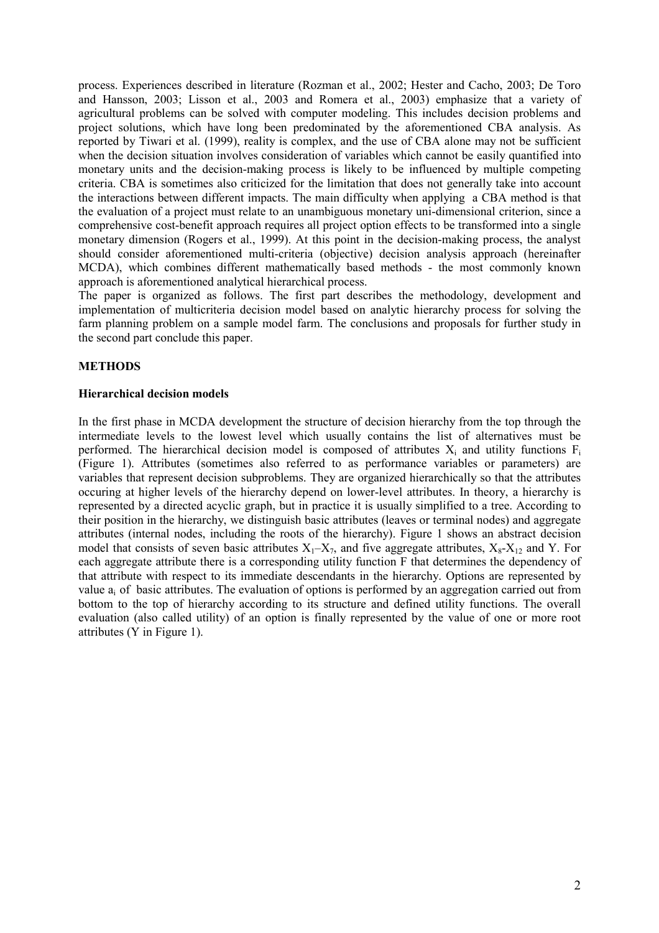process. Experiences described in literature (Rozman et al., 2002; Hester and Cacho, 2003; De Toro and Hansson, 2003; Lisson et al., 2003 and Romera et al., 2003) emphasize that a variety of agricultural problems can be solved with computer modeling. This includes decision problems and project solutions, which have long been predominated by the aforementioned CBA analysis. As reported by Tiwari et al. (1999), reality is complex, and the use of CBA alone may not be sufficient when the decision situation involves consideration of variables which cannot be easily quantified into monetary units and the decision-making process is likely to be influenced by multiple competing criteria. CBA is sometimes also criticized for the limitation that does not generally take into account the interactions between different impacts. The main difficulty when applying a CBA method is that the evaluation of a project must relate to an unambiguous monetary uni-dimensional criterion, since a comprehensive cost-benefit approach requires all project option effects to be transformed into a single monetary dimension (Rogers et al., 1999). At this point in the decision-making process, the analyst should consider aforementioned multi-criteria (objective) decision analysis approach (hereinafter MCDA), which combines different mathematically based methods - the most commonly known approach is aforementioned analytical hierarchical process.

The paper is organized as follows. The first part describes the methodology, development and implementation of multicriteria decision model based on analytic hierarchy process for solving the farm planning problem on a sample model farm. The conclusions and proposals for further study in the second part conclude this paper.

## METHODS

#### Hierarchical decision models

In the first phase in MCDA development the structure of decision hierarchy from the top through the intermediate levels to the lowest level which usually contains the list of alternatives must be performed. The hierarchical decision model is composed of attributes  $X_i$  and utility functions  $F_i$ (Figure 1). Attributes (sometimes also referred to as performance variables or parameters) are variables that represent decision subproblems. They are organized hierarchically so that the attributes occuring at higher levels of the hierarchy depend on lower-level attributes. In theory, a hierarchy is represented by a directed acyclic graph, but in practice it is usually simplified to a tree. According to their position in the hierarchy, we distinguish basic attributes (leaves or terminal nodes) and aggregate attributes (internal nodes, including the roots of the hierarchy). Figure 1 shows an abstract decision model that consists of seven basic attributes  $X_1 - X_7$ , and five aggregate attributes,  $X_8 - X_{12}$  and Y. For each aggregate attribute there is a corresponding utility function F that determines the dependency of that attribute with respect to its immediate descendants in the hierarchy. Options are represented by value  $a_i$  of basic attributes. The evaluation of options is performed by an aggregation carried out from bottom to the top of hierarchy according to its structure and defined utility functions. The overall evaluation (also called utility) of an option is finally represented by the value of one or more root attributes (Y in Figure 1).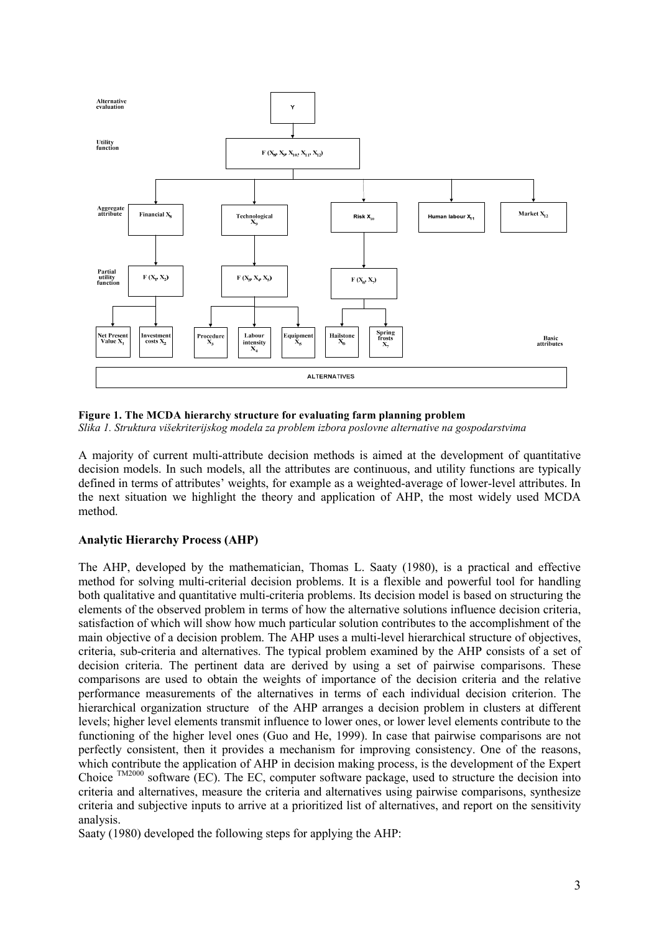

## Figure 1. The MCDA hierarchy structure for evaluating farm planning problem

Slika 1. Struktura višekriterijskog modela za problem izbora poslovne alternative na gospodarstvima

A majority of current multi-attribute decision methods is aimed at the development of quantitative decision models. In such models, all the attributes are continuous, and utility functions are typically defined in terms of attributes' weights, for example as a weighted-average of lower-level attributes. In the next situation we highlight the theory and application of AHP, the most widely used MCDA method.

# Analytic Hierarchy Process (AHP)

The AHP, developed by the mathematician, Thomas L. Saaty (1980), is a practical and effective method for solving multi-criterial decision problems. It is a flexible and powerful tool for handling both qualitative and quantitative multi-criteria problems. Its decision model is based on structuring the elements of the observed problem in terms of how the alternative solutions influence decision criteria, satisfaction of which will show how much particular solution contributes to the accomplishment of the main objective of a decision problem. The AHP uses a multi-level hierarchical structure of objectives, criteria, sub-criteria and alternatives. The typical problem examined by the AHP consists of a set of decision criteria. The pertinent data are derived by using a set of pairwise comparisons. These comparisons are used to obtain the weights of importance of the decision criteria and the relative performance measurements of the alternatives in terms of each individual decision criterion. The hierarchical organization structure of the AHP arranges a decision problem in clusters at different levels; higher level elements transmit influence to lower ones, or lower level elements contribute to the functioning of the higher level ones (Guo and He, 1999). In case that pairwise comparisons are not perfectly consistent, then it provides a mechanism for improving consistency. One of the reasons, which contribute the application of AHP in decision making process, is the development of the Expert Choice <sup>TM2000</sup> software (EC). The EC, computer software package, used to structure the decision into criteria and alternatives, measure the criteria and alternatives using pairwise comparisons, synthesize criteria and subjective inputs to arrive at a prioritized list of alternatives, and report on the sensitivity analysis.

Saaty (1980) developed the following steps for applying the AHP: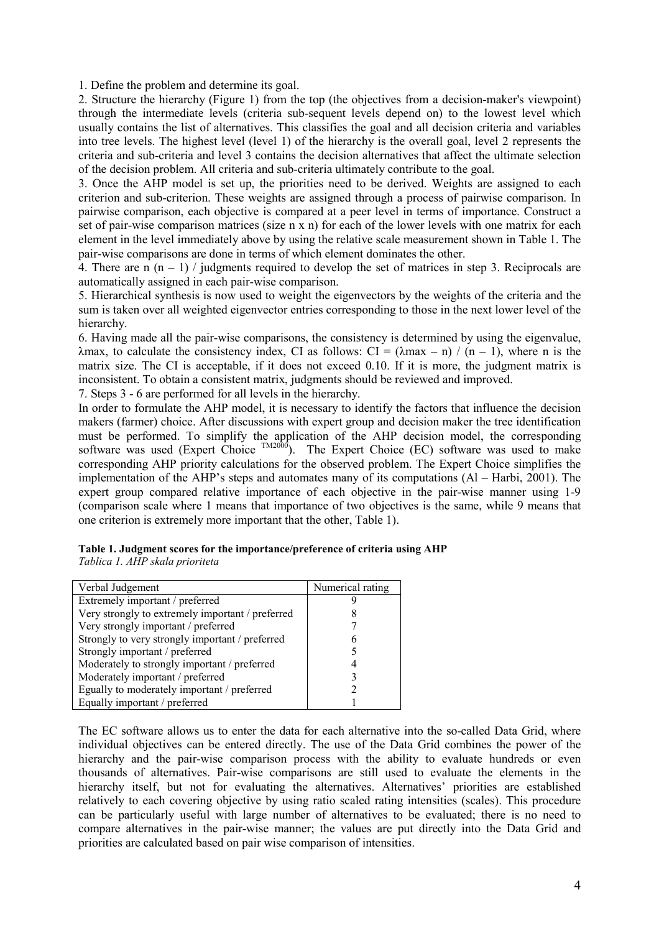1. Define the problem and determine its goal.

2. Structure the hierarchy (Figure 1) from the top (the objectives from a decision-maker's viewpoint) through the intermediate levels (criteria sub-sequent levels depend on) to the lowest level which usually contains the list of alternatives. This classifies the goal and all decision criteria and variables into tree levels. The highest level (level 1) of the hierarchy is the overall goal, level 2 represents the criteria and sub-criteria and level 3 contains the decision alternatives that affect the ultimate selection of the decision problem. All criteria and sub-criteria ultimately contribute to the goal.

3. Once the AHP model is set up, the priorities need to be derived. Weights are assigned to each criterion and sub-criterion. These weights are assigned through a process of pairwise comparison. In pairwise comparison, each objective is compared at a peer level in terms of importance. Construct a set of pair-wise comparison matrices (size n x n) for each of the lower levels with one matrix for each element in the level immediately above by using the relative scale measurement shown in Table 1. The pair-wise comparisons are done in terms of which element dominates the other.

4. There are n  $(n - 1)$  / judgments required to develop the set of matrices in step 3. Reciprocals are automatically assigned in each pair-wise comparison.

5. Hierarchical synthesis is now used to weight the eigenvectors by the weights of the criteria and the sum is taken over all weighted eigenvector entries corresponding to those in the next lower level of the hierarchy.

6. Having made all the pair-wise comparisons, the consistency is determined by using the eigenvalue, λmax, to calculate the consistency index, CI as follows: CI =  $(\lambda$ max – n) / (n – 1), where n is the matrix size. The CI is acceptable, if it does not exceed 0.10. If it is more, the judgment matrix is inconsistent. To obtain a consistent matrix, judgments should be reviewed and improved.

7. Steps 3 - 6 are performed for all levels in the hierarchy.

In order to formulate the AHP model, it is necessary to identify the factors that influence the decision makers (farmer) choice. After discussions with expert group and decision maker the tree identification must be performed. To simplify the application of the AHP decision model, the corresponding software was used (Expert Choice  $\frac{TM2000}{}$ ). The Expert Choice (EC) software was used to make corresponding AHP priority calculations for the observed problem. The Expert Choice simplifies the implementation of the AHP's steps and automates many of its computations (Al – Harbi, 2001). The expert group compared relative importance of each objective in the pair-wise manner using 1-9 (comparison scale where 1 means that importance of two objectives is the same, while 9 means that one criterion is extremely more important that the other, Table 1).

|                                 | Table 1. Judgment scores for the importance/preference of criteria using AHP |
|---------------------------------|------------------------------------------------------------------------------|
| Tablica 1. AHP skala prioriteta |                                                                              |

| Verbal Judgement                                 | Numerical rating |
|--------------------------------------------------|------------------|
| Extremely important / preferred                  |                  |
| Very strongly to extremely important / preferred |                  |
| Very strongly important / preferred              |                  |
| Strongly to very strongly important / preferred  | 6                |
| Strongly important / preferred                   |                  |
| Moderately to strongly important / preferred     |                  |
| Moderately important / preferred                 |                  |
| Egually to moderately important / preferred      |                  |
| Equally important / preferred                    |                  |

The EC software allows us to enter the data for each alternative into the so-called Data Grid, where individual objectives can be entered directly. The use of the Data Grid combines the power of the hierarchy and the pair-wise comparison process with the ability to evaluate hundreds or even thousands of alternatives. Pair-wise comparisons are still used to evaluate the elements in the hierarchy itself, but not for evaluating the alternatives. Alternatives' priorities are established relatively to each covering objective by using ratio scaled rating intensities (scales). This procedure can be particularly useful with large number of alternatives to be evaluated; there is no need to compare alternatives in the pair-wise manner; the values are put directly into the Data Grid and priorities are calculated based on pair wise comparison of intensities.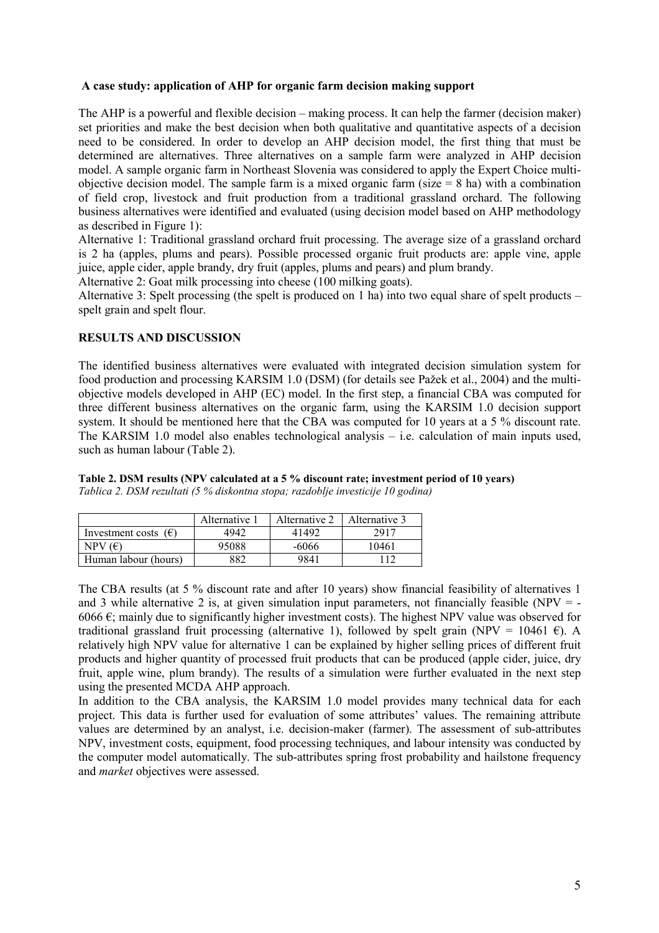## A case study: application of AHP for organic farm decision making support

The AHP is a powerful and flexible decision – making process. It can help the farmer (decision maker) set priorities and make the best decision when both qualitative and quantitative aspects of a decision need to be considered. In order to develop an AHP decision model, the first thing that must be determined are alternatives. Three alternatives on a sample farm were analyzed in AHP decision model. A sample organic farm in Northeast Slovenia was considered to apply the Expert Choice multiobjective decision model. The sample farm is a mixed organic farm (size  $= 8$  ha) with a combination of field crop, livestock and fruit production from a traditional grassland orchard. The following business alternatives were identified and evaluated (using decision model based on AHP methodology as described in Figure 1):

Alternative 1: Traditional grassland orchard fruit processing. The average size of a grassland orchard is 2 ha (apples, plums and pears). Possible processed organic fruit products are: apple vine, apple juice, apple cider, apple brandy, dry fruit (apples, plums and pears) and plum brandy.

Alternative 2: Goat milk processing into cheese (100 milking goats).

Alternative 3: Spelt processing (the spelt is produced on 1 ha) into two equal share of spelt products – spelt grain and spelt flour.

## RESULTS AND DISCUSSION

The identified business alternatives were evaluated with integrated decision simulation system for food production and processing KARSIM 1.0 (DSM) (for details see Pažek et al., 2004) and the multiobjective models developed in AHP (EC) model. In the first step, a financial CBA was computed for three different business alternatives on the organic farm, using the KARSIM 1.0 decision support system. It should be mentioned here that the CBA was computed for 10 years at a 5 % discount rate. The KARSIM 1.0 model also enables technological analysis – i.e. calculation of main inputs used, such as human labour (Table 2).

Table 2. DSM results (NPV calculated at a 5 % discount rate; investment period of 10 years)

Tablica 2. DSM rezultati (5 % diskontna stopa; razdoblje investicije 10 godina)

|                               | Alternative 1 | Alternative 2 | Alternative 3 |
|-------------------------------|---------------|---------------|---------------|
| Investment costs $(\epsilon)$ | 4942          | 41492         | 2917          |
| NPV $(E)$                     | 95088         | -6066         | 10461         |
| Human labour (hours)          | 882           | 9841          |               |

The CBA results (at 5 % discount rate and after 10 years) show financial feasibility of alternatives 1 and 3 while alternative 2 is, at given simulation input parameters, not financially feasible (NPV  $=$  -6066  $\epsilon$ ; mainly due to significantly higher investment costs). The highest NPV value was observed for traditional grassland fruit processing (alternative 1), followed by spelt grain (NPV = 10461  $\epsilon$ ). A relatively high NPV value for alternative 1 can be explained by higher selling prices of different fruit products and higher quantity of processed fruit products that can be produced (apple cider, juice, dry fruit, apple wine, plum brandy). The results of a simulation were further evaluated in the next step using the presented MCDA AHP approach.

In addition to the CBA analysis, the KARSIM 1.0 model provides many technical data for each project. This data is further used for evaluation of some attributes' values. The remaining attribute values are determined by an analyst, i.e. decision-maker (farmer). The assessment of sub-attributes NPV, investment costs, equipment, food processing techniques, and labour intensity was conducted by the computer model automatically. The sub-attributes spring frost probability and hailstone frequency and market objectives were assessed.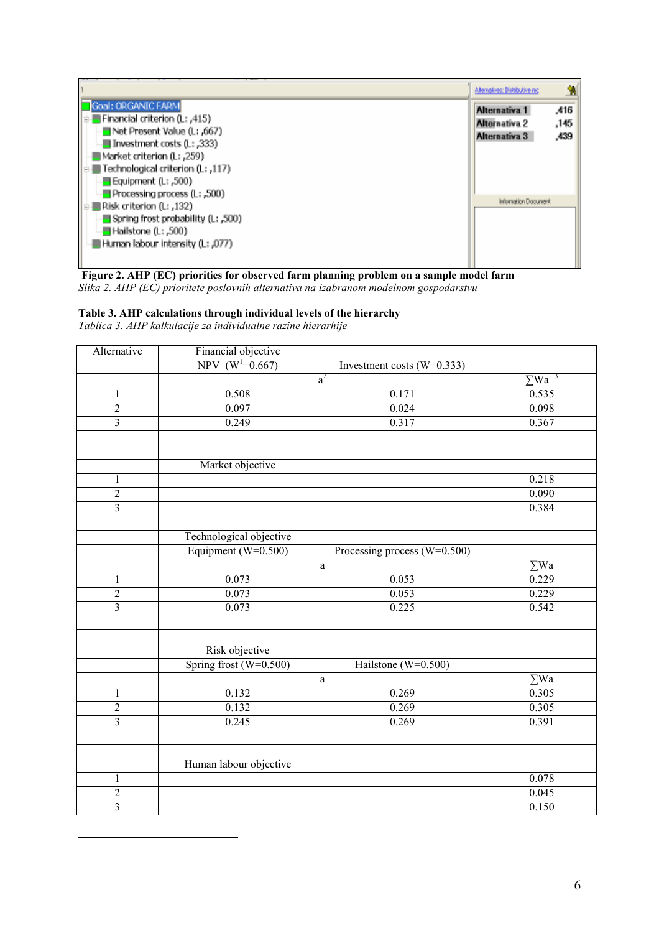|                                                                                                                                                                                                                     | Alternatives: Distributive rac                         | я                    |
|---------------------------------------------------------------------------------------------------------------------------------------------------------------------------------------------------------------------|--------------------------------------------------------|----------------------|
| Goal: ORGANIC FARM<br>Financial criterion (L: ,415)<br>.567), Net Present Value (L: ,667<br>- Investment costs (L: ,333)<br>■Market criterion (L: ,259)<br>Technological criterion (L: ,117)<br>Equipment (L: ,500) | Alternativa 1<br><b>Alternativa 2</b><br>Alternativa 3 | .416<br>.145<br>.439 |
| $\blacksquare$ Processing process (L: ,500)<br>,132), : Risk criterion (L<br>$\blacksquare$ Spring frost probability (L; ,500)<br>- Hailstone (L: ,500)<br>∎Human labour intensity (L: ,077)                        | Information Document                                   |                      |

Figure 2. AHP (EC) priorities for observed farm planning problem on a sample model farm Slika 2. AHP (EC) prioritete poslovnih alternativa na izabranom modelnom gospodarstvu

# Table 3. AHP calculations through individual levels of the hierarchy

Tablica 3. AHP kalkulacije za individualne razine hierarhije

 $\overline{a}$ 

| Alternative    | Financial objective     |                              |             |
|----------------|-------------------------|------------------------------|-------------|
|                | NPV $(W1=0.667)$        | Investment costs $(W=0.333)$ |             |
|                |                         | $\sum \text{Wa}^{-3}$        |             |
| $\,1$          | 0.508<br>0.171          |                              | 0.535       |
| $\overline{2}$ | 0.097                   | 0.024                        | 0.098       |
| $\overline{3}$ | 0.249                   | 0.317                        | 0.367       |
|                |                         |                              |             |
|                |                         |                              |             |
|                | Market objective        |                              |             |
| $\mathbf{1}$   |                         |                              | 0.218       |
| $\overline{2}$ |                         |                              | 0.090       |
| $\overline{3}$ |                         |                              | 0.384       |
|                |                         |                              |             |
|                | Technological objective |                              |             |
|                | Equipment (W=0.500)     | Processing process (W=0.500) |             |
|                |                         | a                            | $\Sigma$ Wa |
| 1              | 0.073                   | 0.053                        | 0.229       |
| $\overline{2}$ | 0.073                   | 0.053                        | 0.229       |
| $\overline{3}$ | 0.073                   | 0.225                        | 0.542       |
|                |                         |                              |             |
|                |                         |                              |             |
|                | Risk objective          |                              |             |
|                | Spring frost (W=0.500)  | Hailstone (W=0.500)          |             |
|                |                         | $\mathbf{a}$                 | $\Sigma$ Wa |
| $\mathbf{1}$   | 0.132                   | 0.269                        | 0.305       |
| $\overline{2}$ | 0.132                   | 0.269                        | 0.305       |
| $\overline{3}$ | 0.245                   | 0.269                        | 0.391       |
|                |                         |                              |             |
|                |                         |                              |             |
|                | Human labour objective  |                              |             |
| 1              |                         |                              | 0.078       |
| $\overline{2}$ |                         |                              | 0.045       |
| $\overline{3}$ |                         |                              | 0.150       |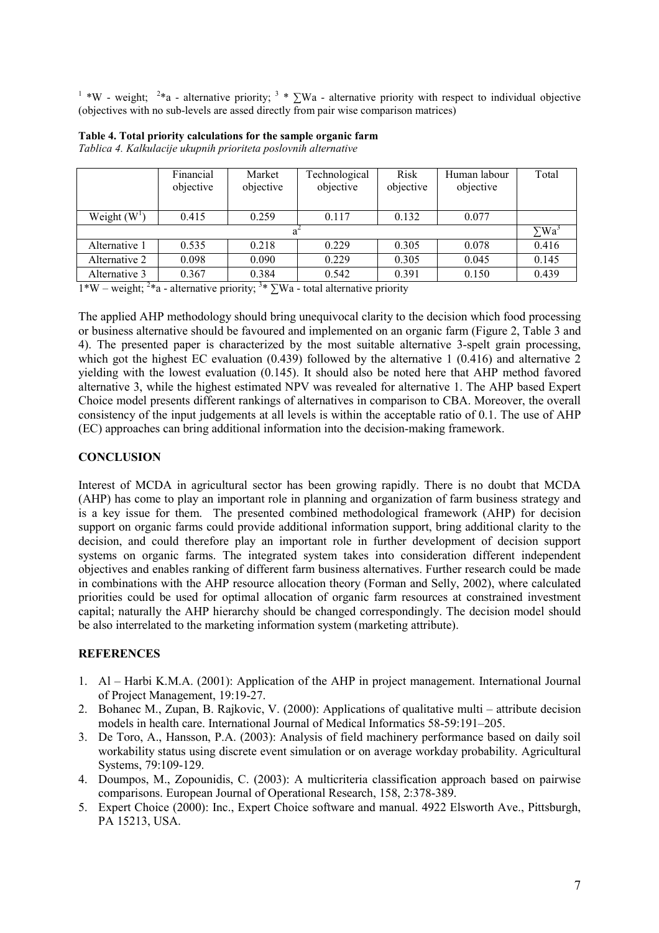<sup>1</sup> \*W - weight; <sup>2</sup>\*a - alternative priority; <sup>3</sup> \* ∑Wa - alternative priority with respect to individual objective (objectives with no sub-levels are assed directly from pair wise comparison matrices)

|               | Financial | Market    | Technological | <b>Risk</b> | Human labour | Total                    |
|---------------|-----------|-----------|---------------|-------------|--------------|--------------------------|
|               | objective | objective | objective     | objective   | objective    |                          |
|               |           |           |               |             |              |                          |
| Weight $(W1)$ | 0.415     | 0.259     | 0.117         | 0.132       | 0.077        |                          |
|               |           |           |               |             |              | $\Sigma$ Wa <sup>3</sup> |
| Alternative 1 | 0.535     | 0.218     | 0.229         | 0.305       | 0.078        | 0.416                    |
| Alternative 2 | 0.098     | 0.090     | 0.229         | 0.305       | 0.045        | 0.145                    |
| Alternative 3 | 0.367     | 0.384     | 0.542         | 0.391       | 0.150        | 0.439                    |

| Table 4. Total priority calculations for the sample organic farm |
|------------------------------------------------------------------|
| Tablica 4. Kalkulacije ukupnih prioriteta poslovnih alternative  |

1\*W – weight; <sup>2\*</sup>a - alternative priority; <sup>3\*</sup>  $\Sigma$ Wa - total alternative priority

The applied AHP methodology should bring unequivocal clarity to the decision which food processing or business alternative should be favoured and implemented on an organic farm (Figure 2, Table 3 and 4). The presented paper is characterized by the most suitable alternative 3-spelt grain processing, which got the highest EC evaluation (0.439) followed by the alternative 1 (0.416) and alternative 2 yielding with the lowest evaluation (0.145). It should also be noted here that AHP method favored alternative 3, while the highest estimated NPV was revealed for alternative 1. The AHP based Expert Choice model presents different rankings of alternatives in comparison to CBA. Moreover, the overall consistency of the input judgements at all levels is within the acceptable ratio of 0.1. The use of AHP (EC) approaches can bring additional information into the decision-making framework.

# **CONCLUSION**

Interest of MCDA in agricultural sector has been growing rapidly. There is no doubt that MCDA (AHP) has come to play an important role in planning and organization of farm business strategy and is a key issue for them. The presented combined methodological framework (AHP) for decision support on organic farms could provide additional information support, bring additional clarity to the decision, and could therefore play an important role in further development of decision support systems on organic farms. The integrated system takes into consideration different independent objectives and enables ranking of different farm business alternatives. Further research could be made in combinations with the AHP resource allocation theory (Forman and Selly, 2002), where calculated priorities could be used for optimal allocation of organic farm resources at constrained investment capital; naturally the AHP hierarchy should be changed correspondingly. The decision model should be also interrelated to the marketing information system (marketing attribute).

## **REFERENCES**

- 1. Al Harbi K.M.A. (2001): Application of the AHP in project management. International Journal of Project Management, 19:19-27.
- 2. Bohanec M., Zupan, B. Rajkovic, V. (2000): Applications of qualitative multi attribute decision models in health care. International Journal of Medical Informatics 58-59:191–205.
- 3. De Toro, A., Hansson, P.A. (2003): Analysis of field machinery performance based on daily soil workability status using discrete event simulation or on average workday probability. Agricultural Systems, 79:109-129.
- 4. Doumpos, M., Zopounidis, C. (2003): A multicriteria classification approach based on pairwise comparisons. European Journal of Operational Research, 158, 2:378-389.
- 5. Expert Choice (2000): Inc., Expert Choice software and manual. 4922 Elsworth Ave., Pittsburgh, PA 15213, USA.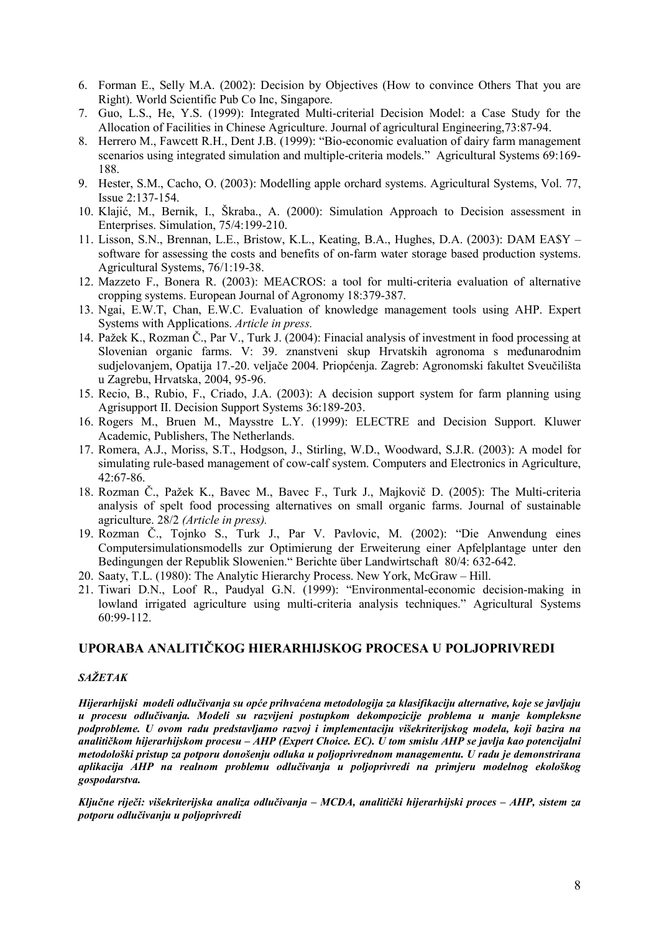- 6. Forman E., Selly M.A. (2002): Decision by Objectives (How to convince Others That you are Right). World Scientific Pub Co Inc, Singapore.
- 7. Guo, L.S., He, Y.S. (1999): Integrated Multi-criterial Decision Model: a Case Study for the Allocation of Facilities in Chinese Agriculture. Journal of agricultural Engineering,73:87-94.
- 8. Herrero M., Fawcett R.H., Dent J.B. (1999): "Bio-economic evaluation of dairy farm management scenarios using integrated simulation and multiple-criteria models." Agricultural Systems 69:169- 188.
- 9. Hester, S.M., Cacho, O. (2003): Modelling apple orchard systems. Agricultural Systems, Vol. 77, Issue 2:137-154.
- 10. Klajić, M., Bernik, I., Škraba., A. (2000): Simulation Approach to Decision assessment in Enterprises. Simulation, 75/4:199-210.
- 11. Lisson, S.N., Brennan, L.E., Bristow, K.L., Keating, B.A., Hughes, D.A. (2003): DAM EA\$Y software for assessing the costs and benefits of on-farm water storage based production systems. Agricultural Systems, 76/1:19-38.
- 12. Mazzeto F., Bonera R. (2003): MEACROS: a tool for multi-criteria evaluation of alternative cropping systems. European Journal of Agronomy 18:379-387.
- 13. Ngai, E.W.T, Chan, E.W.C. Evaluation of knowledge management tools using AHP. Expert Systems with Applications. Article in press.
- 14. Pažek K., Rozman Č., Par V., Turk J. (2004): Finacial analysis of investment in food processing at Slovenian organic farms. V: 39. znanstveni skup Hrvatskih agronoma s meñunarodnim sudjelovanjem, Opatija 17.-20. veljače 2004. Priopćenja. Zagreb: Agronomski fakultet Sveučilišta u Zagrebu, Hrvatska, 2004, 95-96.
- 15. Recio, B., Rubio, F., Criado, J.A. (2003): A decision support system for farm planning using Agrisupport II. Decision Support Systems 36:189-203.
- 16. Rogers M., Bruen M., Maysstre L.Y. (1999): ELECTRE and Decision Support. Kluwer Academic, Publishers, The Netherlands.
- 17. Romera, A.J., Moriss, S.T., Hodgson, J., Stirling, W.D., Woodward, S.J.R. (2003): A model for simulating rule-based management of cow-calf system. Computers and Electronics in Agriculture, 42:67-86.
- 18. Rozman Č., Pažek K., Bavec M., Bavec F., Turk J., Majkovič D. (2005): The Multi-criteria analysis of spelt food processing alternatives on small organic farms. Journal of sustainable agriculture. 28/2 (Article in press).
- 19. Rozman Č., Tojnko S., Turk J., Par V. Pavlovic, M. (2002): "Die Anwendung eines Computersimulationsmodells zur Optimierung der Erweiterung einer Apfelplantage unter den Bedingungen der Republik Slowenien." Berichte über Landwirtschaft 80/4: 632-642.
- 20. Saaty, T.L. (1980): The Analytic Hierarchy Process. New York, McGraw Hill.
- 21. Tiwari D.N., Loof R., Paudyal G.N. (1999): "Environmental-economic decision-making in lowland irrigated agriculture using multi-criteria analysis techniques." Agricultural Systems 60:99-112.

# UPORABA ANALITIČKOG HIERARHIJSKOG PROCESA U POLJOPRIVREDI

## SAŽETAK

Hijerarhijski modeli odlučivanja su opće prihvaćena metodologija za klasifikaciju alternative, koje se javljaju u procesu odlučivanja. Modeli su razvijeni postupkom dekompozicije problema u manje kompleksne podprobleme. U ovom radu predstavljamo razvoj i implementaciju višekriterijskog modela, koji bazira na analitičkom hijerarhijskom procesu – AHP (Expert Choice. EC). U tom smislu AHP se javlja kao potencijalni metodološki pristup za potporu donošenju odluka u poljoprivrednom managementu. U radu je demonstrirana aplikacija AHP na realnom problemu odlučivanja u poljoprivredi na primjeru modelnog ekološkog gospodarstva.

Ključne riječi: višekriterijska analiza odlučivanja – MCDA, analitički hijerarhijski proces – AHP, sistem za potporu odlučivanju u poljoprivredi